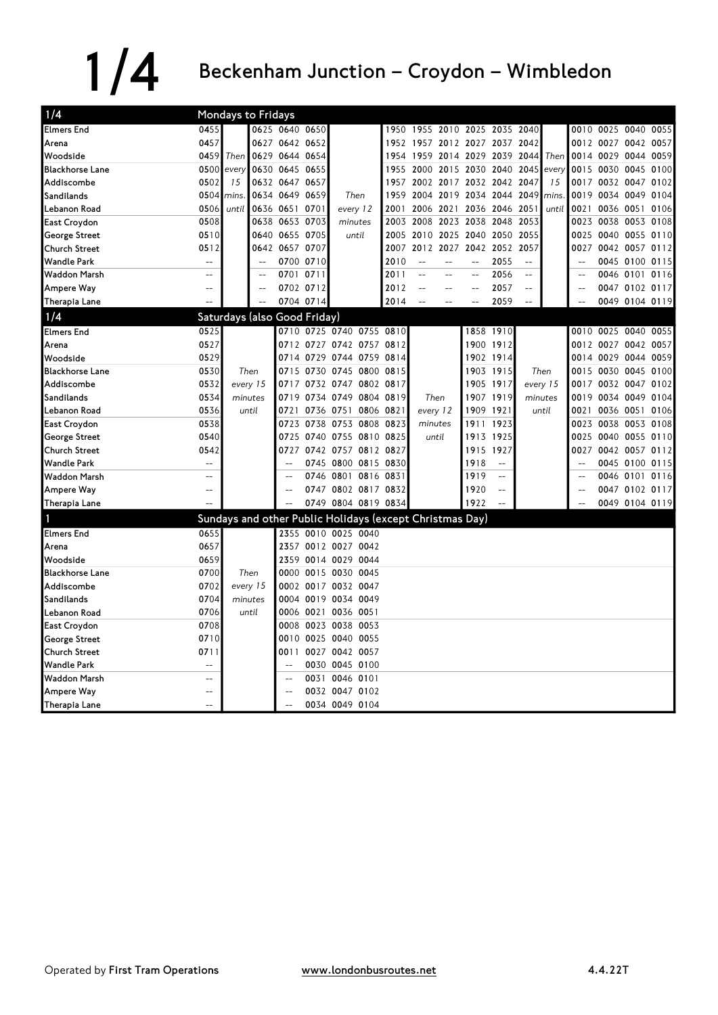## $1/4$  Beckenham Junction – Croydon – Wimbledon

| 1/4                    |                                                     |          | Mondays to Fridays           |                |           |                                                          |      |                               |                |                |                          |      |          |        |                     |                |      |
|------------------------|-----------------------------------------------------|----------|------------------------------|----------------|-----------|----------------------------------------------------------|------|-------------------------------|----------------|----------------|--------------------------|------|----------|--------|---------------------|----------------|------|
| <b>Elmers End</b>      | 0455                                                |          |                              | 0625 0640 0650 |           |                                                          |      | 1950 1955 2010 2025 2035 2040 |                |                |                          |      |          |        | 0010 0025 0040 0055 |                |      |
| Arena                  | 0457                                                |          |                              | 0627 0642 0652 |           |                                                          |      | 1952 1957 2012 2027 2037 2042 |                |                |                          |      |          |        | 0012 0027 0042 0057 |                |      |
| Woodside               | 0459                                                | Then     |                              | 0629 0644 0654 |           |                                                          |      | 1954 1959                     |                | 2014 2029 2039 |                          | 2044 | Then     |        | 0014 0029 0044      |                | 0059 |
| <b>Blackhorse Lane</b> | 0500                                                | every    |                              | 0630 0645 0655 |           |                                                          | 1955 | 2000                          |                | 2015 2030 2040 |                          | 2045 | every    | 0015   | 0030 0045 0100      |                |      |
| Addiscombe             | 0502                                                | 15       |                              | 0632 0647 0657 |           |                                                          | 1957 | 2002 2017                     |                | 2032 2042      |                          | 2047 | 15       |        | 0017 0032 0047      |                | 0102 |
| Sandilands             | 0504                                                | mins     |                              | 0634 0649 0659 |           | Then                                                     | 1959 | 2004 2019 2034 2044           |                |                |                          | 2049 | mins     | 0019   | 0034 0049 0104      |                |      |
| Lebanon Road           | 0506                                                | until    |                              | 0636 0651 0701 |           | every 12                                                 | 2001 |                               | 2006 2021      |                | 2036 2046                | 2051 | until    |        | 0021 0036 0051      |                | 0106 |
| <b>East Croydon</b>    | 0508                                                |          |                              | 0638 0653 0703 |           | minutes                                                  | 2003 | 2008                          |                | 2023 2038      | 2048                     | 2053 |          | 0023   | 0038 0053           |                | 0108 |
| <b>George Street</b>   | 0510                                                |          |                              | 0640 0655 0705 |           | until                                                    | 2005 |                               |                |                | 2010 2025 2040 2050 2055 |      |          | 0025   | 0040 0055 0110      |                |      |
| <b>Church Street</b>   | 0512                                                |          |                              | 0642 0657 0707 |           |                                                          | 2007 |                               | 2012 2027 2042 |                | 2052                     | 2057 |          | 0027   | 0042 0057 0112      |                |      |
| <b>Wandle Park</b>     | $\mathbf{u}$                                        |          | $\sim$                       |                | 0700 0710 |                                                          | 2010 | $\overline{a}$                | $-$            | $\overline{a}$ | 2055                     | $-$  |          |        |                     | 0045 0100 0115 |      |
| <b>Waddon Marsh</b>    | $\overline{\phantom{a}}$                            |          |                              | 0701 0711      |           |                                                          | 2011 | ц,                            |                | $-$            | 2056                     | $-$  |          |        |                     | 0046 0101 0116 |      |
| Ampere Way             | $-$                                                 |          | $\overline{a}$               |                | 0702 0712 |                                                          | 2012 |                               | $-$            | $-$            | 2057                     | $-$  |          |        |                     | 0047 0102 0117 |      |
| Therapia Lane          |                                                     |          |                              |                | 0704 0714 |                                                          | 2014 |                               | $-$            |                | 2059                     | $-$  |          |        |                     | 0049 0104 0119 |      |
| 1/4                    |                                                     |          | Saturdays (also Good Friday) |                |           |                                                          |      |                               |                |                |                          |      |          |        |                     |                |      |
| <b>Elmers End</b>      | 0525                                                |          |                              |                |           | 0710 0725 0740 0755 0810                                 |      |                               |                |                | 1858 1910                |      |          |        | 0010 0025 0040 0055 |                |      |
| Arena                  | 0527                                                |          |                              |                |           | 0712 0727 0742 0757 0812                                 |      |                               |                | 1900           | 1912                     |      |          |        | 0012 0027 0042 0057 |                |      |
| Woodside               | 0529                                                |          |                              |                |           | 0714 0729 0744 0759 0814                                 |      |                               |                |                | 1902 1914                |      |          |        | 0014 0029 0044 0059 |                |      |
| <b>Blackhorse Lane</b> | 0530                                                |          | Then                         | 0715           | 0730      | 0745 0800                                                | 0815 |                               |                |                | 1903 1915                |      | Then     |        | 0015 0030 0045      |                | 0100 |
| Addiscombe             | 0532                                                | every 15 |                              |                |           | 0717 0732 0747 0802 0817                                 |      |                               |                |                | 1905 1917                |      | every 15 |        | 0017 0032 0047 0102 |                |      |
| Sandilands             | 0534                                                | minutes  |                              | 0719           |           | 0734 0749 0804 0819                                      |      | Then                          |                |                | 1907 1919                |      | minutes  |        | 0019 0034 0049 0104 |                |      |
| Lebanon Road           | 0536                                                |          | until                        | 0721           |           | 0736 0751<br>0806 0821                                   |      | every 12                      |                | 1909           | 1921                     |      | until    | 0021   | 0036 0051           |                | 0106 |
| East Croydon           | 0538                                                |          |                              | 0723           |           | 0738 0753 0808 0823                                      |      | minutes                       |                |                | 1911 1923                |      |          | 0023   | 0038 0053 0108      |                |      |
| George Street          | 0540                                                |          |                              | 0725           |           | 0740 0755 0810 0825                                      |      | until                         |                |                | 1913 1925                |      |          | 0025   | 0040 0055 0110      |                |      |
| <b>Church Street</b>   | 0542                                                |          |                              | 0727           |           | 0742 0757 0812 0827                                      |      |                               |                | 1915           | 1927                     |      |          | 0027   | 0042 0057 0112      |                |      |
| <b>Wandle Park</b>     | $\overline{a}$                                      |          |                              |                |           | 0745 0800 0815 0830                                      |      |                               |                | 1918           | $\overline{\phantom{a}}$ |      |          |        |                     | 0045 0100 0115 |      |
| <b>Waddon Marsh</b>    | $\equiv$ $\equiv$                                   |          |                              |                |           | 0746 0801 0816 0831                                      |      |                               |                | 1919           | $\sim$ $\sim$            |      |          |        |                     | 0046 0101 0116 |      |
| Ampere Way             | $\hspace{0.05cm} -\hspace{0.05cm} -\hspace{0.05cm}$ |          |                              | $\overline{a}$ |           | 0747 0802 0817 0832                                      |      |                               |                | 1920           | $\overline{a}$           |      |          | $\sim$ |                     | 0047 0102 0117 |      |
| Therapia Lane          | $\overline{a}$                                      |          |                              | $-$            |           | 0749 0804 0819 0834                                      |      |                               |                | 1922           | $\equiv$                 |      |          |        |                     | 0049 0104 0119 |      |
| 1                      |                                                     |          |                              |                |           | Sundays and other Public Holidays (except Christmas Day) |      |                               |                |                |                          |      |          |        |                     |                |      |
| <b>Elmers End</b>      | 0655                                                |          |                              |                |           | 2355 0010 0025 0040                                      |      |                               |                |                |                          |      |          |        |                     |                |      |
| Arena                  | 0657                                                |          |                              |                |           | 2357 0012 0027 0042                                      |      |                               |                |                |                          |      |          |        |                     |                |      |
| Woodside               | 0659                                                |          |                              | 2359           |           | 0014 0029 0044                                           |      |                               |                |                |                          |      |          |        |                     |                |      |
| <b>Blackhorse Lane</b> | 0700                                                |          | Then                         | 0000           |           | 0015 0030 0045                                           |      |                               |                |                |                          |      |          |        |                     |                |      |
| Addiscombe             | 0702                                                |          | every 15                     |                |           | 0002 0017 0032 0047                                      |      |                               |                |                |                          |      |          |        |                     |                |      |
| Sandilands             | 0704                                                | minutes  |                              |                |           | 0004 0019 0034 0049                                      |      |                               |                |                |                          |      |          |        |                     |                |      |
| Lebanon Road           | 0706                                                |          | until                        |                |           | 0006 0021 0036 0051                                      |      |                               |                |                |                          |      |          |        |                     |                |      |
| <b>East Croydon</b>    | 0708                                                |          |                              |                |           | 0008 0023 0038 0053                                      |      |                               |                |                |                          |      |          |        |                     |                |      |
| <b>George Street</b>   | 0710                                                |          |                              | 0010           | 0025      | 0040 0055                                                |      |                               |                |                |                          |      |          |        |                     |                |      |
| <b>Church Street</b>   | 0711                                                |          |                              |                |           | 0011 0027 0042 0057                                      |      |                               |                |                |                          |      |          |        |                     |                |      |
| <b>Wandle Park</b>     | $\equiv$ $\equiv$                                   |          |                              | $-$            |           | 0030 0045 0100                                           |      |                               |                |                |                          |      |          |        |                     |                |      |
| <b>Waddon Marsh</b>    | $\overline{\phantom{a}}$                            |          |                              | $\overline{a}$ |           | 0031 0046 0101                                           |      |                               |                |                |                          |      |          |        |                     |                |      |
| Ampere Way             |                                                     |          |                              | $-$            |           | 0032 0047 0102                                           |      |                               |                |                |                          |      |          |        |                     |                |      |
| Therapia Lane          | $-$                                                 |          |                              |                |           | 0034 0049 0104                                           |      |                               |                |                |                          |      |          |        |                     |                |      |